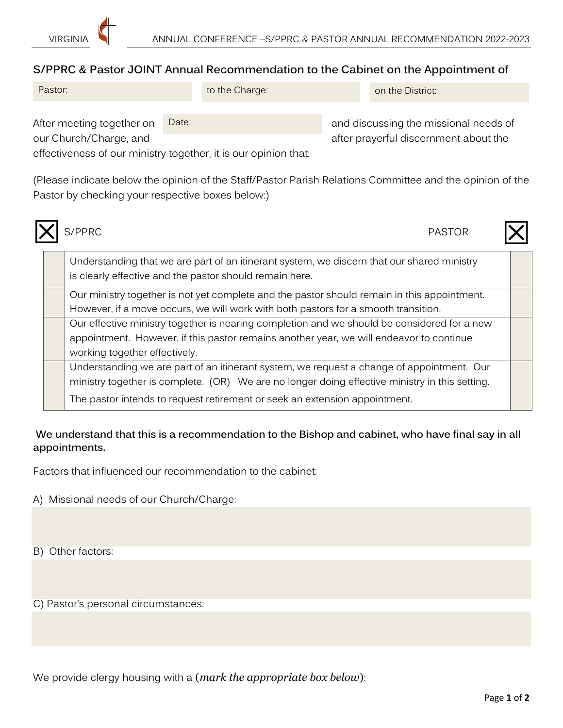

## **S/PPRC & Pastor JOINT Annual Recommendation to the Cabinet on the Appointment of**

| Pastor: | to the Charge: | on the District: |
|---------|----------------|------------------|
|         |                |                  |

Date:

After meeting together on Date: Date: and discussing the missional needs of our Church/Charge, and after prayerful discernment about the

effectiveness of our ministry together, it is our opinion that:

(Please indicate below the opinion of the Staff/Pastor Parish Relations Committee and the opinion of the Pastor by checking your respective boxes below:)



S/PPRC PASTOR



|  |  | Understanding that we are part of an itinerant system, we discern that our shared ministry<br>is clearly effective and the pastor should remain here. |  |
|--|--|-------------------------------------------------------------------------------------------------------------------------------------------------------|--|
|  |  | Our ministry together is not yet complete and the pastor should remain in this appointment.                                                           |  |
|  |  | However, if a move occurs, we will work with both pastors for a smooth transition.                                                                    |  |
|  |  | Our effective ministry together is nearing completion and we should be considered for a new                                                           |  |
|  |  | appointment. However, if this pastor remains another year, we will endeavor to continue                                                               |  |
|  |  | working together effectively.                                                                                                                         |  |
|  |  | Understanding we are part of an itinerant system, we request a change of appointment. Our                                                             |  |
|  |  | ministry together is complete. (OR) We are no longer doing effective ministry in this setting.                                                        |  |
|  |  | The pastor intends to request retirement or seek an extension appointment.                                                                            |  |

## **We understand that this is a recommendation to the Bishop and cabinet, who have final say in all appointments.**

Factors that influenced our recommendation to the cabinet:

- A) Missional needs of our Church/Charge:
- B) Other factors:

C) Pastor's personal circumstances:

We provide clergy housing with a (*mark the appropriate box below*):